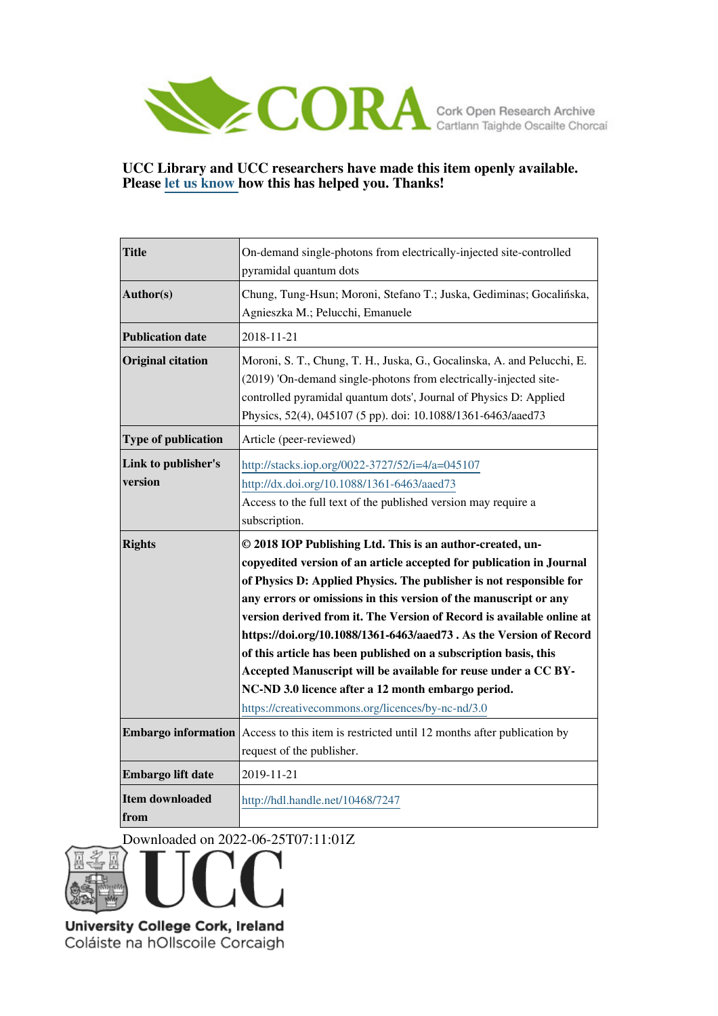

## **UCC Library and UCC researchers have made this item openly available. Please [let us know h](https://libguides.ucc.ie/openaccess/impact?suffix=7247&title=On-demand single-photons from electrically-injected site-controlled pyramidal quantum dots)ow this has helped you. Thanks!**

| <b>Title</b>                                | On-demand single-photons from electrically-injected site-controlled<br>pyramidal quantum dots                                                                                                                                                                                                                                                                                                                                                                                                                                                                                                                                                                                                                                                          |
|---------------------------------------------|--------------------------------------------------------------------------------------------------------------------------------------------------------------------------------------------------------------------------------------------------------------------------------------------------------------------------------------------------------------------------------------------------------------------------------------------------------------------------------------------------------------------------------------------------------------------------------------------------------------------------------------------------------------------------------------------------------------------------------------------------------|
| Author(s)                                   | Chung, Tung-Hsun; Moroni, Stefano T.; Juska, Gediminas; Gocalińska,<br>Agnieszka M.; Pelucchi, Emanuele                                                                                                                                                                                                                                                                                                                                                                                                                                                                                                                                                                                                                                                |
| <b>Publication date</b>                     | 2018-11-21                                                                                                                                                                                                                                                                                                                                                                                                                                                                                                                                                                                                                                                                                                                                             |
| <b>Original citation</b>                    | Moroni, S. T., Chung, T. H., Juska, G., Gocalinska, A. and Pelucchi, E.<br>(2019) 'On-demand single-photons from electrically-injected site-<br>controlled pyramidal quantum dots', Journal of Physics D: Applied<br>Physics, 52(4), 045107 (5 pp). doi: 10.1088/1361-6463/aaed73                                                                                                                                                                                                                                                                                                                                                                                                                                                                      |
| Type of publication                         | Article (peer-reviewed)                                                                                                                                                                                                                                                                                                                                                                                                                                                                                                                                                                                                                                                                                                                                |
| Link to publisher's<br>version              | http://stacks.iop.org/0022-3727/52/i=4/a=045107<br>http://dx.doi.org/10.1088/1361-6463/aaed73<br>Access to the full text of the published version may require a<br>subscription.                                                                                                                                                                                                                                                                                                                                                                                                                                                                                                                                                                       |
| <b>Rights</b><br><b>Embargo information</b> | © 2018 IOP Publishing Ltd. This is an author-created, un-<br>copyedited version of an article accepted for publication in Journal<br>of Physics D: Applied Physics. The publisher is not responsible for<br>any errors or omissions in this version of the manuscript or any<br>version derived from it. The Version of Record is available online at<br>https://doi.org/10.1088/1361-6463/aaed73. As the Version of Record<br>of this article has been published on a subscription basis, this<br>Accepted Manuscript will be available for reuse under a CC BY-<br>NC-ND 3.0 licence after a 12 month embargo period.<br>https://creativecommons.org/licences/by-nc-nd/3.0<br>Access to this item is restricted until 12 months after publication by |
|                                             | request of the publisher.                                                                                                                                                                                                                                                                                                                                                                                                                                                                                                                                                                                                                                                                                                                              |
| Embargo lift date                           | 2019-11-21                                                                                                                                                                                                                                                                                                                                                                                                                                                                                                                                                                                                                                                                                                                                             |
| <b>Item downloaded</b><br>from              | http://hdl.handle.net/10468/7247                                                                                                                                                                                                                                                                                                                                                                                                                                                                                                                                                                                                                                                                                                                       |

Downloaded on 2022-06-25T07:11:01Z



University College Cork, Ireland Coláiste na hOllscoile Corcaigh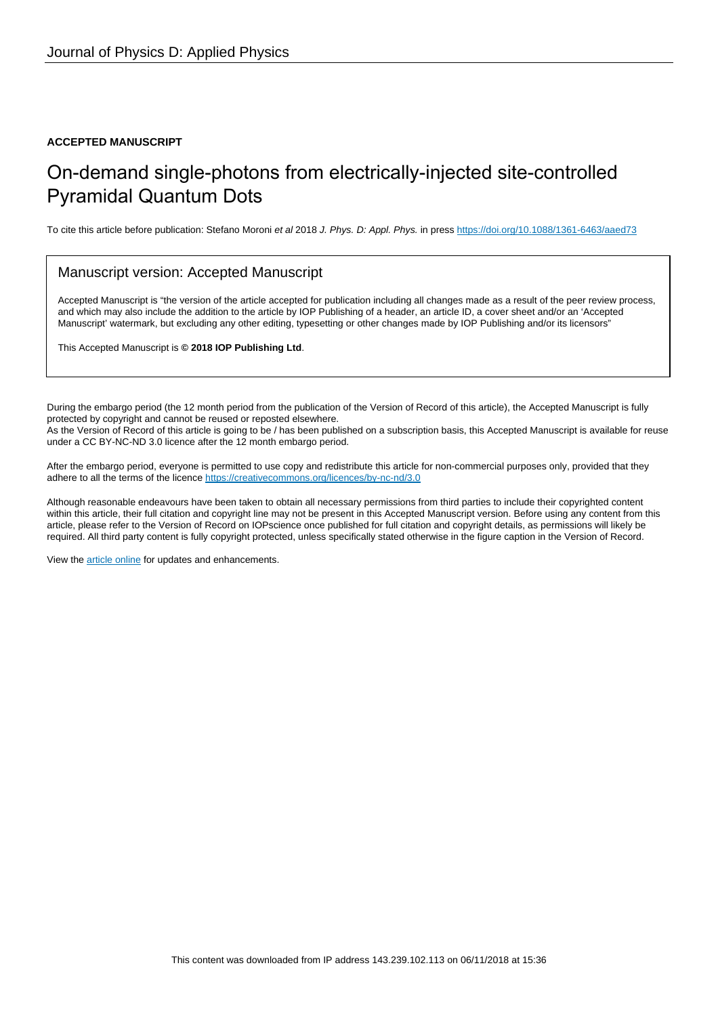## **ACCEPTED MANUSCRIPT**

# On-demand single-photons from electrically-injected site-controlled Pyramidal Quantum Dots

To cite this article before publication: Stefano Moroni et al 2018 J. Phys. D: Appl. Phys. in press <https://doi.org/10.1088/1361-6463/aaed73>

## Manuscript version: Accepted Manuscript

Accepted Manuscript is "the version of the article accepted for publication including all changes made as a result of the peer review process, and which may also include the addition to the article by IOP Publishing of a header, an article ID, a cover sheet and/or an 'Accepted Manuscript' watermark, but excluding any other editing, typesetting or other changes made by IOP Publishing and/or its licensors"

This Accepted Manuscript is **© 2018 IOP Publishing Ltd**.

During the embargo period (the 12 month period from the publication of the Version of Record of this article), the Accepted Manuscript is fully protected by copyright and cannot be reused or reposted elsewhere. As the Version of Record of this article is going to be / has been published on a subscription basis, this Accepted Manuscript is available for reuse under a CC BY-NC-ND 3.0 licence after the 12 month embargo period.

After the embargo period, everyone is permitted to use copy and redistribute this article for non-commercial purposes only, provided that they adhere to all the terms of the licence <https://creativecommons.org/licences/by-nc-nd/3.0>

Although reasonable endeavours have been taken to obtain all necessary permissions from third parties to include their copyrighted content within this article, their full citation and copyright line may not be present in this Accepted Manuscript version. Before using any content from this article, please refer to the Version of Record on IOPscience once published for full citation and copyright details, as permissions will likely be required. All third party content is fully copyright protected, unless specifically stated otherwise in the figure caption in the Version of Record.

View the [article online](https://doi.org/10.1088/1361-6463/aaed73) for updates and enhancements.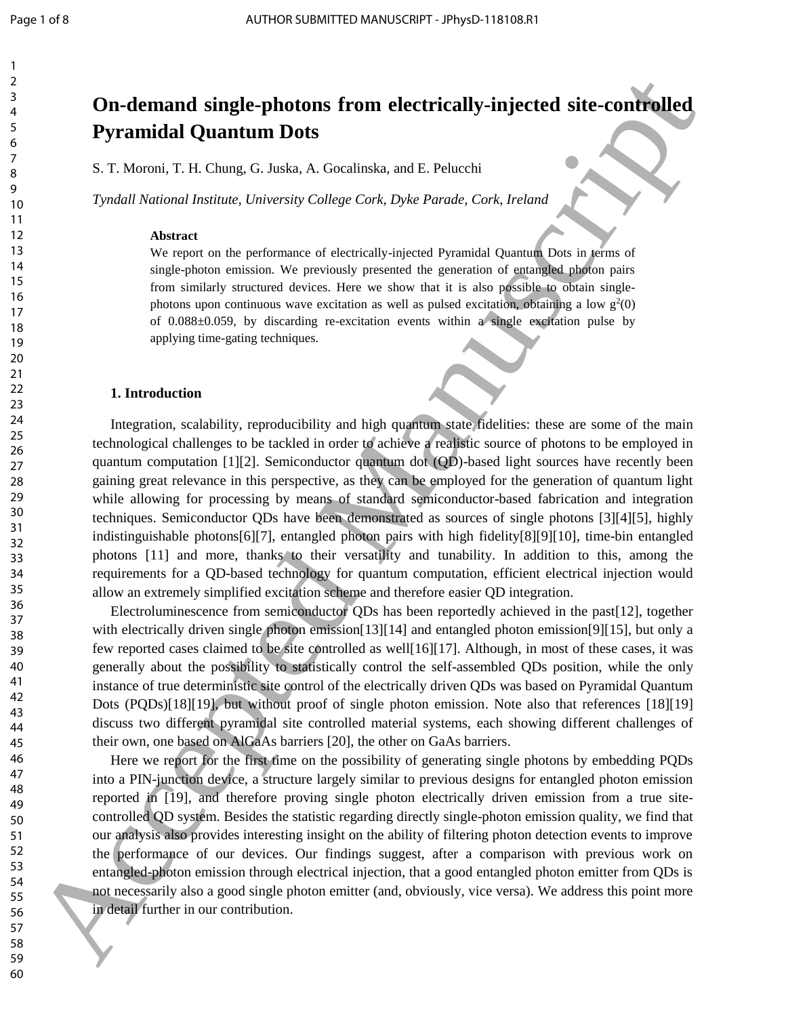1 2 3

# **On-demand single-photons from electrically-injected site-controlled Pyramidal Quantum Dots**

S. T. Moroni, T. H. Chung, G. Juska, A. Gocalinska, and E. Pelucchi

*Tyndall National Institute, University College Cork, Dyke Parade, Cork, Ireland*

#### **Abstract**

We report on the performance of electrically-injected Pyramidal Quantum Dots in terms of single-photon emission. We previously presented the generation of entangled photon pairs from similarly structured devices. Here we show that it is also possible to obtain singlephotons upon continuous wave excitation as well as pulsed excitation, obtaining a low  $g^2(0)$ of 0.088±0.059, by discarding re-excitation events within a single excitation pulse by applying time-gating techniques.

#### **1. Introduction**

Integration, scalability, reproducibility and high quantum state fidelities: these are some of the main technological challenges to be tackled in order to achieve a realistic source of photons to be employed in quantum computation [1][2]. Semiconductor quantum dot (QD)-based light sources have recently been gaining great relevance in this perspective, as they can be employed for the generation of quantum light while allowing for processing by means of standard semiconductor-based fabrication and integration techniques. Semiconductor QDs have been demonstrated as sources of single photons [3][4][5], highly indistinguishable photons[6][7], entangled photon pairs with high fidelity[8][9][10], time-bin entangled photons [11] and more, thanks to their versatility and tunability. In addition to this, among the requirements for a QD-based technology for quantum computation, efficient electrical injection would allow an extremely simplified excitation scheme and therefore easier QD integration. **30 Contrast of the contrast of the contrast of the control of the control of the control of the control of the control of the control of the control of the control of the control of the control of the control of the co** 

Electroluminescence from semiconductor QDs has been reportedly achieved in the past[12], together with electrically driven single photon emission[13][14] and entangled photon emission[9][15], but only a few reported cases claimed to be site controlled as well[16][17]. Although, in most of these cases, it was generally about the possibility to statistically control the self-assembled QDs position, while the only instance of true deterministic site control of the electrically driven QDs was based on Pyramidal Quantum Dots (PQDs)[18][19], but without proof of single photon emission. Note also that references [18][19] discuss two different pyramidal site controlled material systems, each showing different challenges of their own, one based on AlGaAs barriers [20], the other on GaAs barriers.

Here we report for the first time on the possibility of generating single photons by embedding PQDs into a PIN-junction device, a structure largely similar to previous designs for entangled photon emission reported in [19], and therefore proving single photon electrically driven emission from a true sitecontrolled QD system. Besides the statistic regarding directly single-photon emission quality, we find that our analysis also provides interesting insight on the ability of filtering photon detection events to improve the performance of our devices. Our findings suggest, after a comparison with previous work on entangled-photon emission through electrical injection, that a good entangled photon emitter from QDs is not necessarily also a good single photon emitter (and, obviously, vice versa). We address this point more in detail further in our contribution.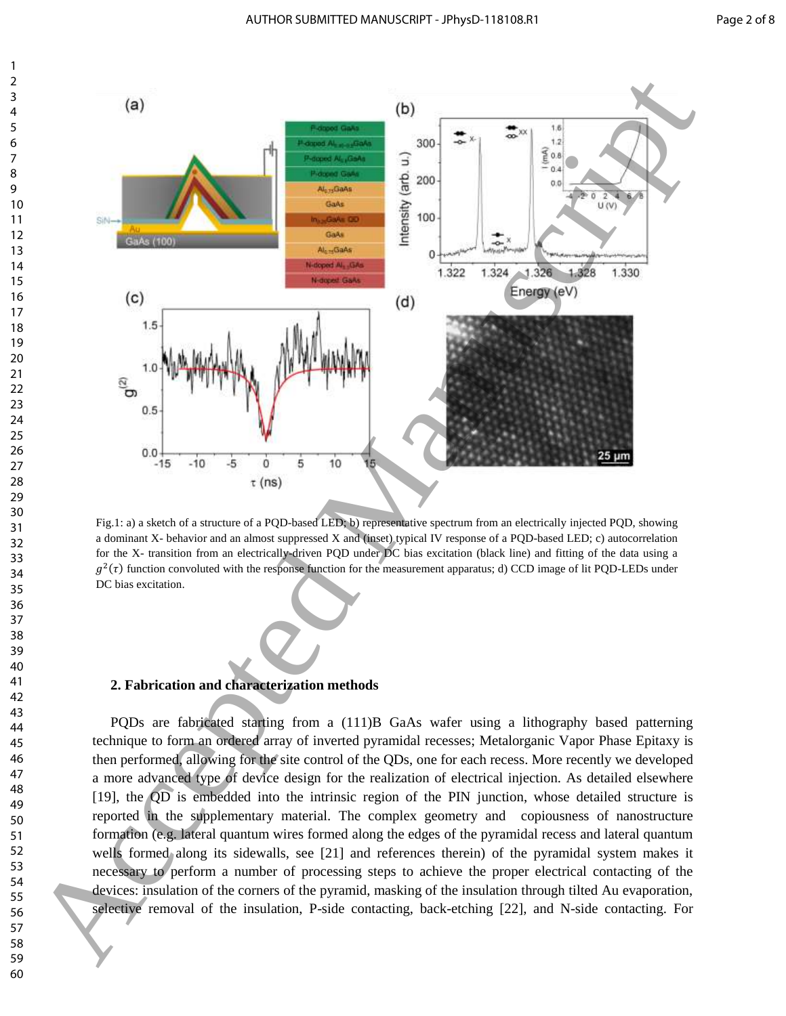

Fig.1: a) a sketch of a structure of a PQD-based LED; b) representative spectrum from an electrically injected PQD, showing a dominant X- behavior and an almost suppressed X and (inset) typical IV response of a PQD-based LED; c) autocorrelation for the X- transition from an electrically-driven PQD under DC bias excitation (black line) and fitting of the data using a  $q^2(\tau)$  function convoluted with the response function for the measurement apparatus; d) CCD image of lit PQD-LEDs under DC bias excitation.

### **2. Fabrication and characterization methods**

PQDs are fabricated starting from a (111)B GaAs wafer using a lithography based patterning technique to form an ordered array of inverted pyramidal recesses; Metalorganic Vapor Phase Epitaxy is then performed, allowing for the site control of the QDs, one for each recess. More recently we developed a more advanced type of device design for the realization of electrical injection. As detailed elsewhere [19], the QD is embedded into the intrinsic region of the PIN junction, whose detailed structure is reported in the supplementary material. The complex geometry and copiousness of nanostructure formation (e.g. lateral quantum wires formed along the edges of the pyramidal recess and lateral quantum wells formed along its sidewalls, see [21] and references therein) of the pyramidal system makes it necessary to perform a number of processing steps to achieve the proper electrical contacting of the devices: insulation of the corners of the pyramid, masking of the insulation through tilted Au evaporation, selective removal of the insulation, P-side contacting, back-etching [22], and N-side contacting. For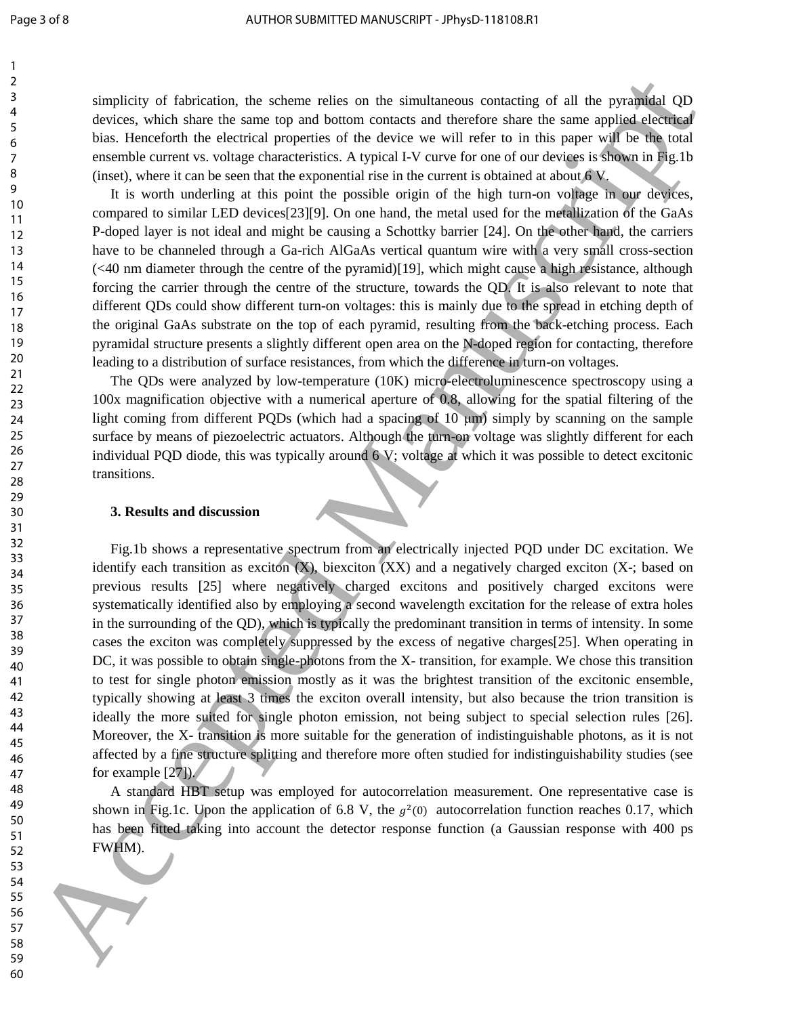simplicity of fabrication, the scheme relies on the simultaneous contacting of all the pyramidal QD devices, which share the same top and bottom contacts and therefore share the same applied electrical bias. Henceforth the electrical properties of the device we will refer to in this paper will be the total ensemble current vs. voltage characteristics. A typical I-V curve for one of our devices is shown in Fig.1b (inset), where it can be seen that the exponential rise in the current is obtained at about 6 V.

It is worth underling at this point the possible origin of the high turn-on voltage in our devices, compared to similar LED devices[23][9]. On one hand, the metal used for the metallization of the GaAs P-doped layer is not ideal and might be causing a Schottky barrier [24]. On the other hand, the carriers have to be channeled through a Ga-rich AlGaAs vertical quantum wire with a very small cross-section (<40 nm diameter through the centre of the pyramid)[19], which might cause a high resistance, although forcing the carrier through the centre of the structure, towards the QD. It is also relevant to note that different QDs could show different turn-on voltages: this is mainly due to the spread in etching depth of the original GaAs substrate on the top of each pyramid, resulting from the back-etching process. Each pyramidal structure presents a slightly different open area on the N-doped region for contacting, therefore leading to a distribution of surface resistances, from which the difference in turn-on voltages.

The QDs were analyzed by low-temperature (10K) micro-electroluminescence spectroscopy using a 100x magnification objective with a numerical aperture of 0.8, allowing for the spatial filtering of the light coming from different PQDs (which had a spacing of 10 μm) simply by scanning on the sample surface by means of piezoelectric actuators. Although the turn-on voltage was slightly different for each individual PQD diode, this was typically around 6 V; voltage at which it was possible to detect excitonic transitions.

### **3. Results and discussion**

Fig.1b shows a representative spectrum from an electrically injected PQD under DC excitation. We identify each transition as exciton  $(X)$ , biexciton  $(XX)$  and a negatively charged exciton  $(X)$ ; based on previous results [25] where negatively charged excitons and positively charged excitons were systematically identified also by employing a second wavelength excitation for the release of extra holes in the surrounding of the QD), which is typically the predominant transition in terms of intensity. In some cases the exciton was completely suppressed by the excess of negative charges[25]. When operating in DC, it was possible to obtain single-photons from the X- transition, for example. We chose this transition to test for single photon emission mostly as it was the brightest transition of the excitonic ensemble, typically showing at least 3 times the exciton overall intensity, but also because the trion transition is ideally the more suited for single photon emission, not being subject to special selection rules [26]. Moreover, the X- transition is more suitable for the generation of indistinguishable photons, as it is not affected by a fine structure splitting and therefore more often studied for indistinguishability studies (see for example [27]). simplicity of intoinioning the scheme relicion the simulations containing of all the pyramidal Objects. Such that the simulation of the simulation of the simulation of the simulation of the simulation of the simulation of

A standard HBT setup was employed for autocorrelation measurement. One representative case is shown in Fig.1c. Upon the application of 6.8 V, the  $g^2(0)$  autocorrelation function reaches 0.17, which has been fitted taking into account the detector response function (a Gaussian response with 400 ps FWHM).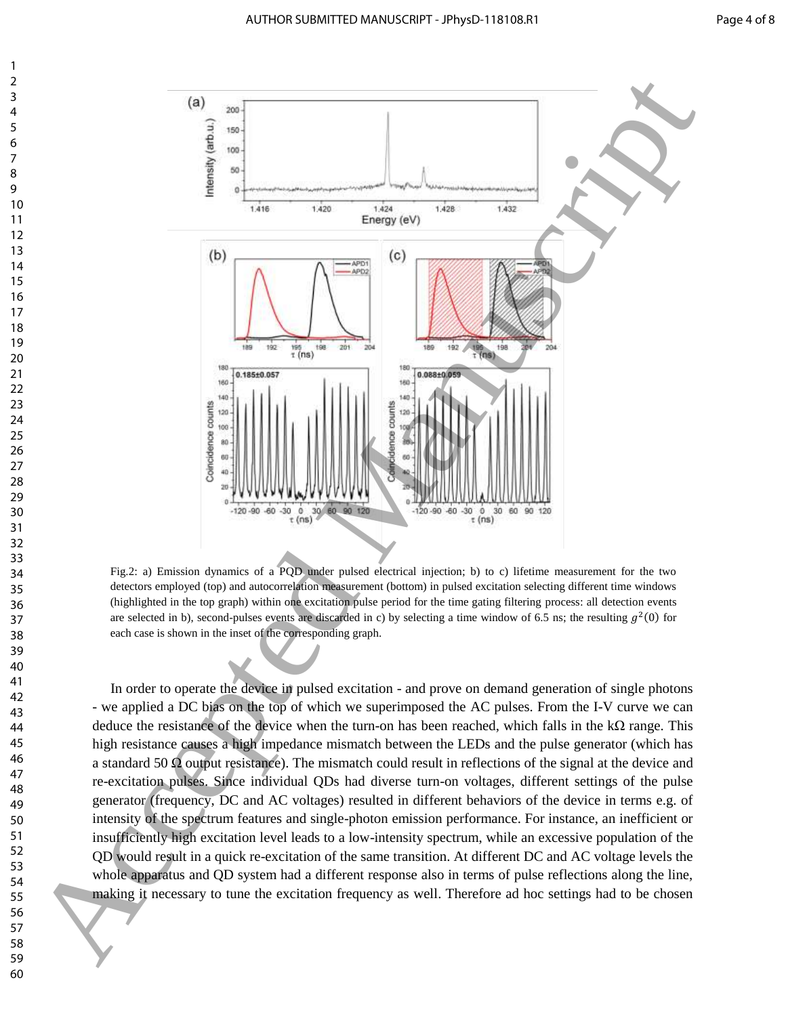

Fig.2: a) Emission dynamics of a PQD under pulsed electrical injection; b) to c) lifetime measurement for the two detectors employed (top) and autocorrelation measurement (bottom) in pulsed excitation selecting different time windows (highlighted in the top graph) within one excitation pulse period for the time gating filtering process: all detection events are selected in b), second-pulses events are discarded in c) by selecting a time window of 6.5 ns; the resulting  $g^2(0)$  for each case is shown in the inset of the corresponding graph.

In order to operate the device in pulsed excitation - and prove on demand generation of single photons - we applied a DC bias on the top of which we superimposed the AC pulses. From the I-V curve we can deduce the resistance of the device when the turn-on has been reached, which falls in the kΩ range. This high resistance causes a high impedance mismatch between the LEDs and the pulse generator (which has a standard 50  $\Omega$  output resistance). The mismatch could result in reflections of the signal at the device and re-excitation pulses. Since individual QDs had diverse turn-on voltages, different settings of the pulse generator (frequency, DC and AC voltages) resulted in different behaviors of the device in terms e.g. of intensity of the spectrum features and single-photon emission performance. For instance, an inefficient or insufficiently high excitation level leads to a low-intensity spectrum, while an excessive population of the QD would result in a quick re-excitation of the same transition. At different DC and AC voltage levels the whole apparatus and QD system had a different response also in terms of pulse reflections along the line, making it necessary to tune the excitation frequency as well. Therefore ad hoc settings had to be chosen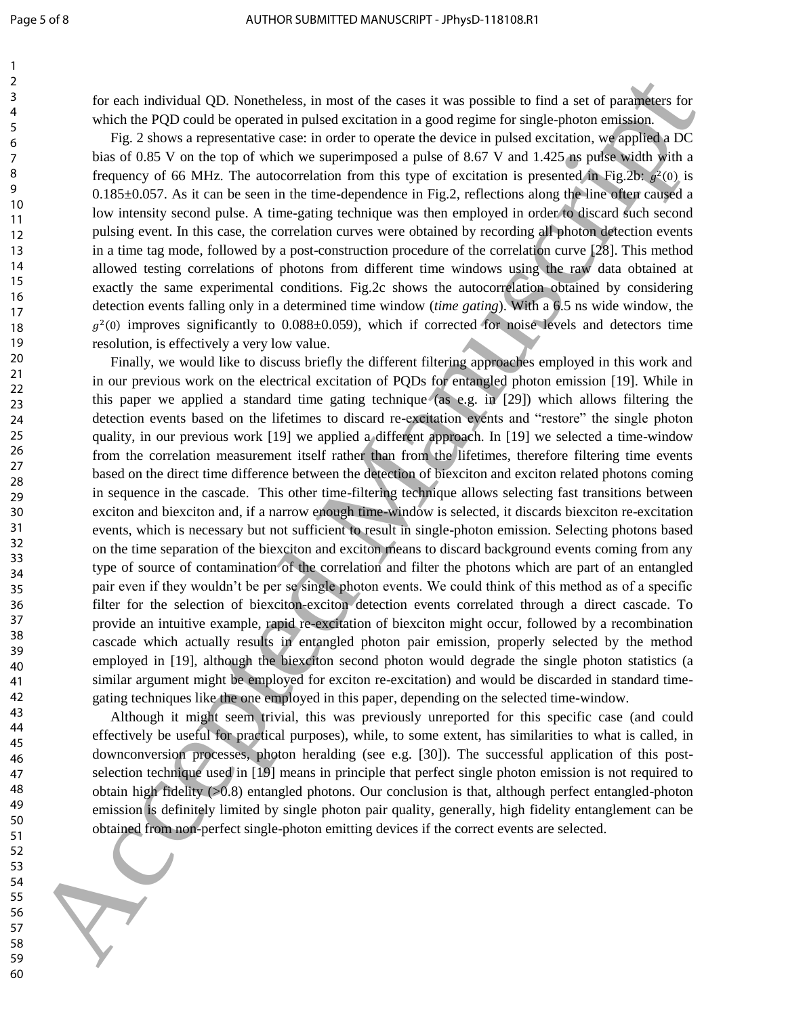for each individual QD. Nonetheless, in most of the cases it was possible to find a set of parameters for which the PQD could be operated in pulsed excitation in a good regime for single-photon emission.

Fig. 2 shows a representative case: in order to operate the device in pulsed excitation, we applied a DC bias of 0.85 V on the top of which we superimposed a pulse of 8.67 V and 1.425 ns pulse width with a frequency of 66 MHz. The autocorrelation from this type of excitation is presented in Fig.2b:  $g^2(0)$  is 0.185±0.057. As it can be seen in the time-dependence in Fig.2, reflections along the line often caused a low intensity second pulse. A time-gating technique was then employed in order to discard such second pulsing event. In this case, the correlation curves were obtained by recording all photon detection events in a time tag mode, followed by a post-construction procedure of the correlation curve [28]. This method allowed testing correlations of photons from different time windows using the raw data obtained at exactly the same experimental conditions. Fig.2c shows the autocorrelation obtained by considering detection events falling only in a determined time window (*time gating*). With a 6.5 ns wide window, the  $g^2(0)$  improves significantly to  $0.088\pm0.059$ , which if corrected for noise levels and detectors time resolution, is effectively a very low value.

Finally, we would like to discuss briefly the different filtering approaches employed in this work and in our previous work on the electrical excitation of PQDs for entangled photon emission [19]. While in this paper we applied a standard time gating technique (as e.g. in [29]) which allows filtering the detection events based on the lifetimes to discard re-excitation events and "restore" the single photon quality, in our previous work [19] we applied a different approach. In [19] we selected a time-window from the correlation measurement itself rather than from the lifetimes, therefore filtering time events based on the direct time difference between the detection of biexciton and exciton related photons coming in sequence in the cascade. This other time-filtering technique allows selecting fast transitions between exciton and biexciton and, if a narrow enough time-window is selected, it discards biexciton re-excitation events, which is necessary but not sufficient to result in single-photon emission. Selecting photons based on the time separation of the biexciton and exciton means to discard background events coming from any type of source of contamination of the correlation and filter the photons which are part of an entangled pair even if they wouldn't be per se single photon events. We could think of this method as of a specific filter for the selection of biexciton-exciton detection events correlated through a direct cascade. To provide an intuitive example, rapid re-excitation of biexciton might occur, followed by a recombination cascade which actually results in entangled photon pair emission, properly selected by the method employed in [19], although the biexciton second photon would degrade the single photon statistics (a similar argument might be employed for exciton re-excitation) and would be discarded in standard timegating techniques like the one employed in this paper, depending on the selected time-window. Excess institute to the contribution of the control of the control of the control of the control of the control of the control of the control of the control of the control of the control of the control of the control of t

Although it might seem trivial, this was previously unreported for this specific case (and could effectively be useful for practical purposes), while, to some extent, has similarities to what is called, in downconversion processes, photon heralding (see e.g. [30]). The successful application of this postselection technique used in [19] means in principle that perfect single photon emission is not required to obtain high fidelity  $(0.8)$  entangled photons. Our conclusion is that, although perfect entangled-photon emission is definitely limited by single photon pair quality, generally, high fidelity entanglement can be obtained from non-perfect single-photon emitting devices if the correct events are selected.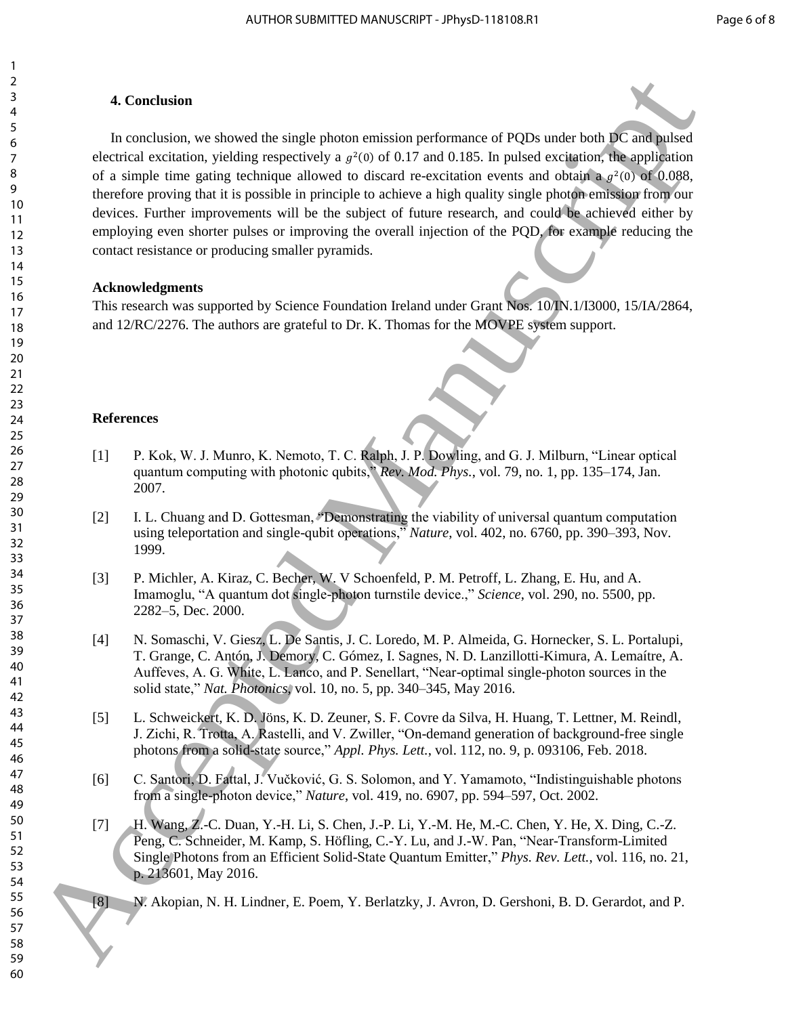## **4. Conclusion**

In conclusion, we showed the single photon emission performance of PQDs under both DC and pulsed electrical excitation, yielding respectively a  $g^2(0)$  of 0.17 and 0.185. In pulsed excitation, the application of a simple time gating technique allowed to discard re-excitation events and obtain a  $g^2(0)$  of 0.088, therefore proving that it is possible in principle to achieve a high quality single photon emission from our devices. Further improvements will be the subject of future research, and could be achieved either by employing even shorter pulses or improving the overall injection of the PQD, for example reducing the contact resistance or producing smaller pyramids. 4 Conclusion,<br>
19 Accepted Manuscript (Evaluation performance of POIs make total Conclusion<br>
19 Accepted Manuscript (Evaluation Schemel Manuscript (Evaluation Schemel Manuscript (Evaluation Schemel Manuscript (Evaluation

# **Acknowledgments**

This research was supported by Science Foundation Ireland under Grant Nos. 10/IN.1/I3000, 15/IA/2864, and 12/RC/2276. The authors are grateful to Dr. K. Thomas for the MOVPE system support.

# **References**

- [1] P. Kok, W. J. Munro, K. Nemoto, T. C. Ralph, J. P. Dowling, and G. J. Milburn, "Linear optical quantum computing with photonic qubits," *Rev. Mod. Phys.*, vol. 79, no. 1, pp. 135–174, Jan. 2007.
- [2] I. L. Chuang and D. Gottesman, "Demonstrating the viability of universal quantum computation using teleportation and single-qubit operations," *Nature*, vol. 402, no. 6760, pp. 390–393, Nov. 1999.
- [3] P. Michler, A. Kiraz, C. Becher, W. V Schoenfeld, P. M. Petroff, L. Zhang, E. Hu, and A. Imamoglu, "A quantum dot single-photon turnstile device.," *Science*, vol. 290, no. 5500, pp. 2282–5, Dec. 2000.
- [4] N. Somaschi, V. Giesz, L. De Santis, J. C. Loredo, M. P. Almeida, G. Hornecker, S. L. Portalupi, T. Grange, C. Antón, J. Demory, C. Gómez, I. Sagnes, N. D. Lanzillotti-Kimura, A. Lemaítre, A. Auffeves, A. G. White, L. Lanco, and P. Senellart, "Near-optimal single-photon sources in the solid state," *Nat. Photonics*, vol. 10, no. 5, pp. 340–345, May 2016.
- [5] L. Schweickert, K. D. Jöns, K. D. Zeuner, S. F. Covre da Silva, H. Huang, T. Lettner, M. Reindl, J. Zichi, R. Trotta, A. Rastelli, and V. Zwiller, "On-demand generation of background-free single photons from a solid-state source," *Appl. Phys. Lett.*, vol. 112, no. 9, p. 093106, Feb. 2018.
- [6] C. Santori, D. Fattal, J. Vučković, G. S. Solomon, and Y. Yamamoto, "Indistinguishable photons from a single-photon device," *Nature*, vol. 419, no. 6907, pp. 594–597, Oct. 2002.
- [7] H. Wang, Z.-C. Duan, Y.-H. Li, S. Chen, J.-P. Li, Y.-M. He, M.-C. Chen, Y. He, X. Ding, C.-Z. Peng, C. Schneider, M. Kamp, S. Höfling, C.-Y. Lu, and J.-W. Pan, "Near-Transform-Limited Single Photons from an Efficient Solid-State Quantum Emitter," *Phys. Rev. Lett.*, vol. 116, no. 21, p. 213601, May 2016.
- [8] N. Akopian, N. H. Lindner, E. Poem, Y. Berlatzky, J. Avron, D. Gershoni, B. D. Gerardot, and P.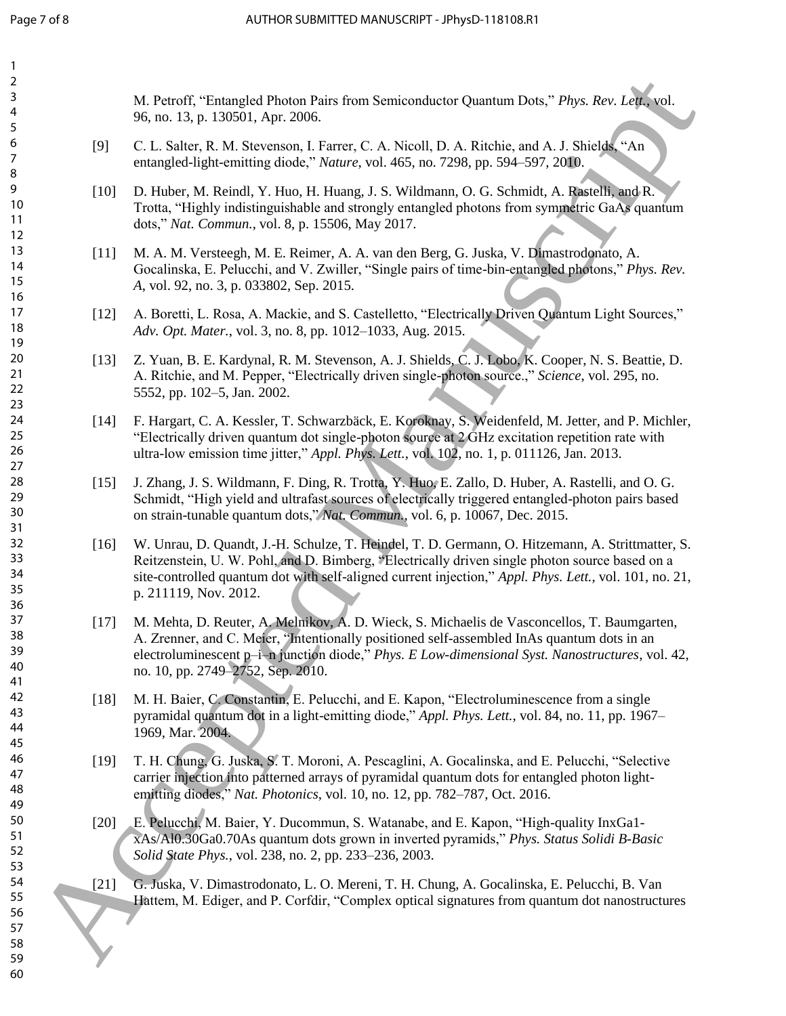| 3<br>4<br>96, no. 13, p. 130501, Apr. 2006.<br>5<br>6<br>[9]<br>7<br>entangled-light-emitting diode," Nature, vol. 465, no. 7298, pp. 594–597, 2010.<br>8<br>9<br>$[10]$<br>10<br>11<br>dots," Nat. Commun., vol. 8, p. 15506, May 2017.<br>12<br>13<br>$[11]$<br>14<br>15<br>A, vol. 92, no. 3, p. 033802, Sep. 2015.<br>16<br>17<br>$[12]$<br>18<br>Adv. Opt. Mater., vol. 3, no. 8, pp. 1012-1033, Aug. 2015.<br>19<br>20<br>$[13]$<br>21<br>22<br>5552, pp. 102-5, Jan. 2002.<br>23<br>24<br>$[14]$<br>25<br>26<br>ultra-low emission time jitter," Appl. Phys. Lett., vol. 102, no. 1, p. 011126, Jan. 2013.<br>27<br>28<br>$[15]$<br>29<br>30<br>on strain-tunable quantum dots," Nat. Commun., vol. 6, p. 10067, Dec. 2015.<br>31<br>32<br>$[16]$<br>33<br>34<br>35<br>p. 211119, Nov. 2012.<br>36<br>37<br>$[17]$<br>38<br>39<br>40<br>no. 10, pp. 2749–2752, Sep. 2010.<br>41<br>42<br>$[18]$<br>43<br>44<br>1969, Mar. 2004.<br>45<br>46<br>$[19]$<br>47<br>48<br>emitting diodes," Nat. Photonics, vol. 10, no. 12, pp. 782-787, Oct. 2016.<br>49<br>50<br>$[20]$<br>51<br>52<br>Solid State Phys., vol. 238, no. 2, pp. 233-236, 2003.<br>53<br>54<br>$[21]$ | 2 |                                                                                                                                                                                                                                                                                                              |
|--------------------------------------------------------------------------------------------------------------------------------------------------------------------------------------------------------------------------------------------------------------------------------------------------------------------------------------------------------------------------------------------------------------------------------------------------------------------------------------------------------------------------------------------------------------------------------------------------------------------------------------------------------------------------------------------------------------------------------------------------------------------------------------------------------------------------------------------------------------------------------------------------------------------------------------------------------------------------------------------------------------------------------------------------------------------------------------------------------------------------------------------------------------------------|---|--------------------------------------------------------------------------------------------------------------------------------------------------------------------------------------------------------------------------------------------------------------------------------------------------------------|
|                                                                                                                                                                                                                                                                                                                                                                                                                                                                                                                                                                                                                                                                                                                                                                                                                                                                                                                                                                                                                                                                                                                                                                          |   | M. Petroff, "Entangled Photon Pairs from Semiconductor Quantum Dots," Phys. Rev. Lett., vol.                                                                                                                                                                                                                 |
|                                                                                                                                                                                                                                                                                                                                                                                                                                                                                                                                                                                                                                                                                                                                                                                                                                                                                                                                                                                                                                                                                                                                                                          |   | C. L. Salter, R. M. Stevenson, I. Farrer, C. A. Nicoll, D. A. Ritchie, and A. J. Shields, "An                                                                                                                                                                                                                |
|                                                                                                                                                                                                                                                                                                                                                                                                                                                                                                                                                                                                                                                                                                                                                                                                                                                                                                                                                                                                                                                                                                                                                                          |   | D. Huber, M. Reindl, Y. Huo, H. Huang, J. S. Wildmann, O. G. Schmidt, A. Rastelli, and R.<br>Trotta, "Highly indistinguishable and strongly entangled photons from symmetric GaAs quantum                                                                                                                    |
|                                                                                                                                                                                                                                                                                                                                                                                                                                                                                                                                                                                                                                                                                                                                                                                                                                                                                                                                                                                                                                                                                                                                                                          |   | M. A. M. Versteegh, M. E. Reimer, A. A. van den Berg, G. Juska, V. Dimastrodonato, A.<br>Gocalinska, E. Pelucchi, and V. Zwiller, "Single pairs of time-bin-entangled photons," Phys. Rev.                                                                                                                   |
|                                                                                                                                                                                                                                                                                                                                                                                                                                                                                                                                                                                                                                                                                                                                                                                                                                                                                                                                                                                                                                                                                                                                                                          |   | A. Boretti, L. Rosa, A. Mackie, and S. Castelletto, "Electrically Driven Quantum Light Sources,"                                                                                                                                                                                                             |
|                                                                                                                                                                                                                                                                                                                                                                                                                                                                                                                                                                                                                                                                                                                                                                                                                                                                                                                                                                                                                                                                                                                                                                          |   | Z. Yuan, B. E. Kardynal, R. M. Stevenson, A. J. Shields, C. J. Lobo, K. Cooper, N. S. Beattie, D.<br>A. Ritchie, and M. Pepper, "Electrically driven single-photon source.," Science, vol. 295, no.                                                                                                          |
|                                                                                                                                                                                                                                                                                                                                                                                                                                                                                                                                                                                                                                                                                                                                                                                                                                                                                                                                                                                                                                                                                                                                                                          |   | F. Hargart, C. A. Kessler, T. Schwarzbäck, E. Koroknay, S. Weidenfeld, M. Jetter, and P. Michler,<br>"Electrically driven quantum dot single-photon source at 2 GHz excitation repetition rate with                                                                                                          |
|                                                                                                                                                                                                                                                                                                                                                                                                                                                                                                                                                                                                                                                                                                                                                                                                                                                                                                                                                                                                                                                                                                                                                                          |   | J. Zhang, J. S. Wildmann, F. Ding, R. Trotta, Y. Huo, E. Zallo, D. Huber, A. Rastelli, and O. G.<br>Schmidt, "High yield and ultrafast sources of electrically triggered entangled-photon pairs based                                                                                                        |
|                                                                                                                                                                                                                                                                                                                                                                                                                                                                                                                                                                                                                                                                                                                                                                                                                                                                                                                                                                                                                                                                                                                                                                          |   | W. Unrau, D. Quandt, J.-H. Schulze, T. Heindel, T. D. Germann, O. Hitzemann, A. Strittmatter, S.<br>Reitzenstein, U. W. Pohl, and D. Bimberg, "Electrically driven single photon source based on a<br>site-controlled quantum dot with self-aligned current injection," Appl. Phys. Lett., vol. 101, no. 21, |
|                                                                                                                                                                                                                                                                                                                                                                                                                                                                                                                                                                                                                                                                                                                                                                                                                                                                                                                                                                                                                                                                                                                                                                          |   | M. Mehta, D. Reuter, A. Melnikov, A. D. Wieck, S. Michaelis de Vasconcellos, T. Baumgarten,<br>A. Zrenner, and C. Meier, "Intentionally positioned self-assembled InAs quantum dots in an<br>electroluminescent p-i-n junction diode," Phys. E Low-dimensional Syst. Nanostructures, vol. 42,                |
|                                                                                                                                                                                                                                                                                                                                                                                                                                                                                                                                                                                                                                                                                                                                                                                                                                                                                                                                                                                                                                                                                                                                                                          |   | M. H. Baier, C. Constantin, E. Pelucchi, and E. Kapon, "Electroluminescence from a single<br>pyramidal quantum dot in a light-emitting diode," Appl. Phys. Lett., vol. 84, no. 11, pp. 1967–                                                                                                                 |
|                                                                                                                                                                                                                                                                                                                                                                                                                                                                                                                                                                                                                                                                                                                                                                                                                                                                                                                                                                                                                                                                                                                                                                          |   | T. H. Chung, G. Juska, S. T. Moroni, A. Pescaglini, A. Gocalinska, and E. Pelucchi, "Selective"<br>carrier injection into patterned arrays of pyramidal quantum dots for entangled photon light-                                                                                                             |
|                                                                                                                                                                                                                                                                                                                                                                                                                                                                                                                                                                                                                                                                                                                                                                                                                                                                                                                                                                                                                                                                                                                                                                          |   | E. Pelucchi, M. Baier, Y. Ducommun, S. Watanabe, and E. Kapon, "High-quality InxGa1-<br>xAs/Al0.30Ga0.70As quantum dots grown in inverted pyramids," Phys. Status Solidi B-Basic                                                                                                                             |
| 55<br>56<br>57<br>58<br>59<br>60                                                                                                                                                                                                                                                                                                                                                                                                                                                                                                                                                                                                                                                                                                                                                                                                                                                                                                                                                                                                                                                                                                                                         |   | G. Juska, V. Dimastrodonato, L. O. Mereni, T. H. Chung, A. Gocalinska, E. Pelucchi, B. Van<br>Hattem, M. Ediger, and P. Corfdir, "Complex optical signatures from quantum dot nanostructures                                                                                                                 |